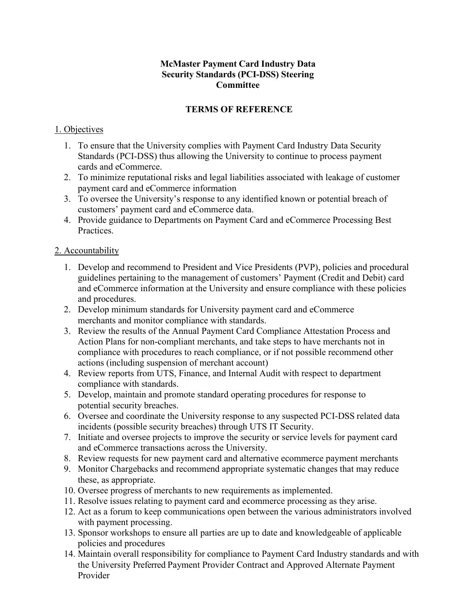### **McMaster Payment Card Industry Data Security Standards (PCI-DSS) Steering Committee**

#### **TERMS OF REFERENCE**

#### 1. Objectives

- 1. To ensure that the University complies with Payment Card Industry Data Security Standards (PCI-DSS) thus allowing the University to continue to process payment cards and eCommerce.
- 2. To minimize reputational risks and legal liabilities associated with leakage of customer payment card and eCommerce information
- 3. To oversee the University's response to any identified known or potential breach of customers' payment card and eCommerce data.
- 4. Provide guidance to Departments on Payment Card and eCommerce Processing Best Practices.

### 2. Accountability

- 1. Develop and recommend to President and Vice Presidents (PVP), policies and procedural guidelines pertaining to the management of customers' Payment (Credit and Debit) card and eCommerce information at the University and ensure compliance with these policies and procedures.
- 2. Develop minimum standards for University payment card and eCommerce merchants and monitor compliance with standards.
- 3. Review the results of the Annual Payment Card Compliance Attestation Process and Action Plans for non-compliant merchants, and take steps to have merchants not in compliance with procedures to reach compliance, or if not possible recommend other actions (including suspension of merchant account)
- 4. Review reports from UTS, Finance, and Internal Audit with respect to department compliance with standards.
- 5. Develop, maintain and promote standard operating procedures for response to potential security breaches.
- 6. Oversee and coordinate the University response to any suspected PCI-DSS related data incidents (possible security breaches) through UTS IT Security.
- 7. Initiate and oversee projects to improve the security or service levels for payment card and eCommerce transactions across the University.
- 8. Review requests for new payment card and alternative ecommerce payment merchants
- 9. Monitor Chargebacks and recommend appropriate systematic changes that may reduce these, as appropriate.
- 10. Oversee progress of merchants to new requirements as implemented.
- 11. Resolve issues relating to payment card and ecommerce processing as they arise.
- 12. Act as a forum to keep communications open between the various administrators involved with payment processing.
- 13. Sponsor workshops to ensure all parties are up to date and knowledgeable of applicable policies and procedures
- 14. Maintain overall responsibility for compliance to Payment Card Industry standards and with the University Preferred Payment Provider Contract and Approved Alternate Payment Provider